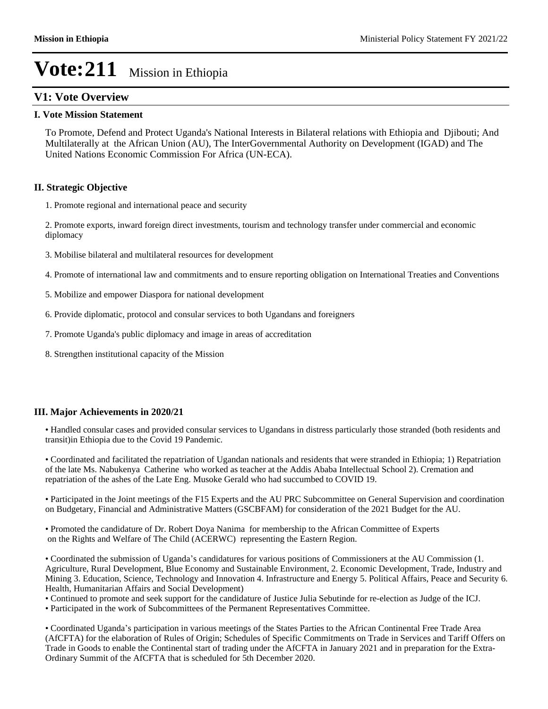# **V1: Vote Overview**

#### **I. Vote Mission Statement**

To Promote, Defend and Protect Uganda's National Interests in Bilateral relations with Ethiopia and Djibouti; And Multilaterally at the African Union (AU), The InterGovernmental Authority on Development (IGAD) and The United Nations Economic Commission For Africa (UN-ECA).

### **II. Strategic Objective**

1. Promote regional and international peace and security

2. Promote exports, inward foreign direct investments, tourism and technology transfer under commercial and economic diplomacy

- 3. Mobilise bilateral and multilateral resources for development
- 4. Promote of international law and commitments and to ensure reporting obligation on International Treaties and Conventions
- 5. Mobilize and empower Diaspora for national development
- 6. Provide diplomatic, protocol and consular services to both Ugandans and foreigners
- 7. Promote Uganda's public diplomacy and image in areas of accreditation
- 8. Strengthen institutional capacity of the Mission

### **III. Major Achievements in 2020/21**

Handled consular cases and provided consular services to Ugandans in distress particularly those stranded (both residents and transit)in Ethiopia due to the Covid 19 Pandemic.

Coordinated and facilitated the repatriation of Ugandan nationals and residents that were stranded in Ethiopia; 1) Repatriation of the late Ms. Nabukenya Catherine who worked as teacher at the Addis Ababa Intellectual School 2). Cremation and repatriation of the ashes of the Late Eng. Musoke Gerald who had succumbed to COVID 19.

Participated in the Joint meetings of the F15 Experts and the AU PRC Subcommittee on General Supervision and coordination on Budgetary, Financial and Administrative Matters (GSCBFAM) for consideration of the 2021 Budget for the AU.

• Promoted the candidature of Dr. Robert Doya Nanima for membership to the African Committee of Experts on the Rights and Welfare of The Child (ACERWC) representing the Eastern Region.

• Coordinated the submission of Uganda's candidatures for various positions of Commissioners at the AU Commission (1. Agriculture, Rural Development, Blue Economy and Sustainable Environment, 2. Economic Development, Trade, Industry and Mining 3. Education, Science, Technology and Innovation 4. Infrastructure and Energy 5. Political Affairs, Peace and Security 6. Health, Humanitarian Affairs and Social Development)

Continued to promote and seek support for the candidature of Justice Julia Sebutinde for re-election as Judge of the ICJ.

Participated in the work of Subcommittees of the Permanent Representatives Committee.

• Coordinated Uganda's participation in various meetings of the States Parties to the African Continental Free Trade Area (AfCFTA) for the elaboration of Rules of Origin; Schedules of Specific Commitments on Trade in Services and Tariff Offers on Trade in Goods to enable the Continental start of trading under the AfCFTA in January 2021 and in preparation for the Extra-Ordinary Summit of the AfCFTA that is scheduled for 5th December 2020.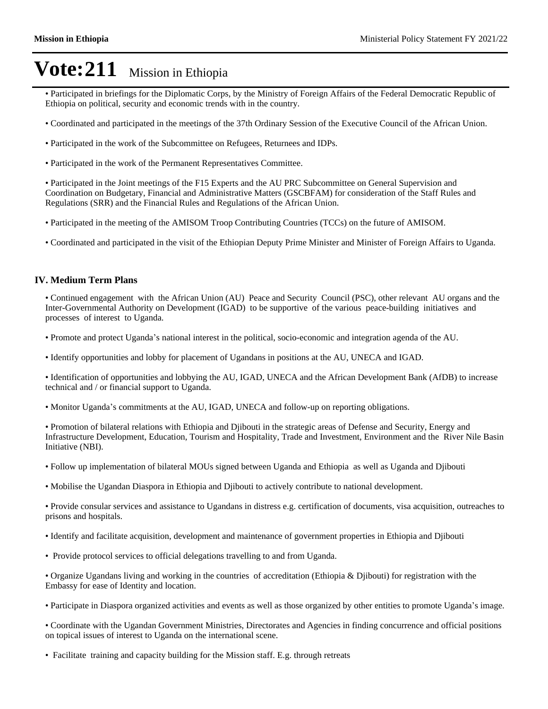- Participated in briefings for the Diplomatic Corps, by the Ministry of Foreign Affairs of the Federal Democratic Republic of Ethiopia on political, security and economic trends with in the country.
- Coordinated and participated in the meetings of the 37th Ordinary Session of the Executive Council of the African Union.
- Participated in the work of the Subcommittee on Refugees, Returnees and IDPs.
- Participated in the work of the Permanent Representatives Committee.

Participated in the Joint meetings of the F15 Experts and the AU PRC Subcommittee on General Supervision and Coordination on Budgetary, Financial and Administrative Matters (GSCBFAM) for consideration of the Staff Rules and Regulations (SRR) and the Financial Rules and Regulations of the African Union.

- Participated in the meeting of the AMISOM Troop Contributing Countries (TCCs) on the future of AMISOM.
- Coordinated and participated in the visit of the Ethiopian Deputy Prime Minister and Minister of Foreign Affairs to Uganda.

#### **IV. Medium Term Plans**

Continued engagement with the African Union (AU) Peace and Security Council (PSC), other relevant AU organs and the Inter-Governmental Authority on Development (IGAD) to be supportive of the various peace-building initiatives and processes of interest to Uganda.

- Promote and protect Uganda's national interest in the political, socio-economic and integration agenda of the AU.
- Identify opportunities and lobby for placement of Ugandans in positions at the AU, UNECA and IGAD.

Identification of opportunities and lobbying the AU, IGAD, UNECA and the African Development Bank (AfDB) to increase technical and / or financial support to Uganda.

• Monitor Uganda's commitments at the AU, IGAD, UNECA and follow-up on reporting obligations.

Promotion of bilateral relations with Ethiopia and Djibouti in the strategic areas of Defense and Security, Energy and Infrastructure Development, Education, Tourism and Hospitality, Trade and Investment, Environment and the River Nile Basin Initiative (NBI).

- Follow up implementation of bilateral MOUs signed between Uganda and Ethiopia as well as Uganda and Djibouti
- Mobilise the Ugandan Diaspora in Ethiopia and Djibouti to actively contribute to national development.

Provide consular services and assistance to Ugandans in distress e.g. certification of documents, visa acquisition, outreaches to prisons and hospitals.

- Identify and facilitate acquisition, development and maintenance of government properties in Ethiopia and Djibouti
- Provide protocol services to official delegations travelling to and from Uganda.

Organize Ugandans living and working in the countries of accreditation (Ethiopia & Djibouti) for registration with the Embassy for ease of Identity and location.

• Participate in Diaspora organized activities and events as well as those organized by other entities to promote Uganda's image.

Coordinate with the Ugandan Government Ministries, Directorates and Agencies in finding concurrence and official positions on topical issues of interest to Uganda on the international scene.

Facilitate training and capacity building for the Mission staff. E.g. through retreats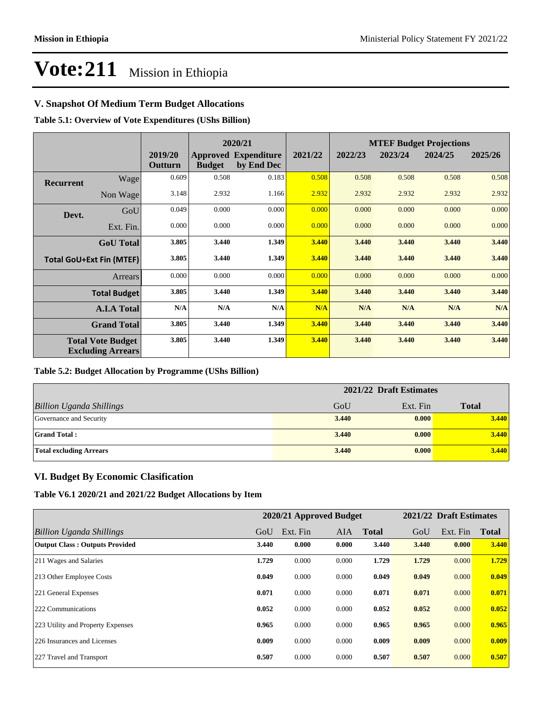# **V. Snapshot Of Medium Term Budget Allocations**

**Table 5.1: Overview of Vote Expenditures (UShs Billion)**

|                                                      | 2020/21            |                    |               | <b>MTEF Budget Projections</b>            |         |         |         |         |         |
|------------------------------------------------------|--------------------|--------------------|---------------|-------------------------------------------|---------|---------|---------|---------|---------|
|                                                      |                    | 2019/20<br>Outturn | <b>Budget</b> | <b>Approved Expenditure</b><br>by End Dec | 2021/22 | 2022/23 | 2023/24 | 2024/25 | 2025/26 |
| <b>Recurrent</b>                                     | Wage               | 0.609              | 0.508         | 0.183                                     | 0.508   | 0.508   | 0.508   | 0.508   | 0.508   |
|                                                      | Non Wage           | 3.148              | 2.932         | 1.166                                     | 2.932   | 2.932   | 2.932   | 2.932   | 2.932   |
| Devt.                                                | GoU                | 0.049              | 0.000         | 0.000                                     | 0.000   | 0.000   | 0.000   | 0.000   | 0.000   |
|                                                      | Ext. Fin.          | 0.000              | 0.000         | 0.000                                     | 0.000   | 0.000   | 0.000   | 0.000   | 0.000   |
|                                                      | <b>GoU</b> Total   | 3.805              | 3.440         | 1.349                                     | 3.440   | 3.440   | 3.440   | 3.440   | 3.440   |
| <b>Total GoU+Ext Fin (MTEF)</b>                      |                    | 3.805              | 3.440         | 1.349                                     | 3.440   | 3.440   | 3.440   | 3.440   | 3.440   |
|                                                      | <b>Arrears</b>     | 0.000              | 0.000         | 0.000                                     | 0.000   | 0.000   | 0.000   | 0.000   | 0.000   |
| <b>Total Budget</b>                                  |                    | 3.805              | 3.440         | 1.349                                     | 3.440   | 3.440   | 3.440   | 3.440   | 3.440   |
|                                                      | <b>A.I.A Total</b> | N/A                | N/A           | N/A                                       | N/A     | N/A     | N/A     | N/A     | N/A     |
| <b>Grand Total</b>                                   |                    | 3.805              | 3.440         | 1.349                                     | 3.440   | 3.440   | 3.440   | 3.440   | 3.440   |
| <b>Total Vote Budget</b><br><b>Excluding Arrears</b> |                    | 3.805              | 3.440         | 1.349                                     | 3.440   | 3.440   | 3.440   | 3.440   | 3.440   |

#### **Table 5.2: Budget Allocation by Programme (UShs Billion)**

| 2021/22 Draft Estimates         |       |          |              |
|---------------------------------|-------|----------|--------------|
| <b>Billion Uganda Shillings</b> | GoU   | Ext. Fin | <b>Total</b> |
| Governance and Security         | 3.440 | 0.000    | 3.440        |
| <b>Grand Total:</b>             | 3.440 | 0.000    | 3.440        |
| <b>Total excluding Arrears</b>  | 3.440 | 0.000    | 3.440        |

## **VI. Budget By Economic Clasification**

**Table V6.1 2020/21 and 2021/22 Budget Allocations by Item**

|                                       |       | 2020/21 Approved Budget |       |              |       | 2021/22 Draft Estimates |              |
|---------------------------------------|-------|-------------------------|-------|--------------|-------|-------------------------|--------------|
| Billion Uganda Shillings              | GoU   | Ext. Fin                | AIA.  | <b>Total</b> | GoU   | Ext. Fin                | <b>Total</b> |
| <b>Output Class: Outputs Provided</b> | 3.440 | 0.000                   | 0.000 | 3.440        | 3.440 | 0.000                   | 3.440        |
| 211 Wages and Salaries                | 1.729 | 0.000                   | 0.000 | 1.729        | 1.729 | 0.000                   | 1.729        |
| 213 Other Employee Costs              | 0.049 | 0.000                   | 0.000 | 0.049        | 0.049 | 0.000                   | 0.049        |
| 221 General Expenses                  | 0.071 | 0.000                   | 0.000 | 0.071        | 0.071 | 0.000                   | 0.071        |
| 222 Communications                    | 0.052 | 0.000                   | 0.000 | 0.052        | 0.052 | 0.000                   | 0.052        |
| 223 Utility and Property Expenses     | 0.965 | 0.000                   | 0.000 | 0.965        | 0.965 | 0.000                   | 0.965        |
| 226 Insurances and Licenses           | 0.009 | 0.000                   | 0.000 | 0.009        | 0.009 | 0.000                   | 0.009        |
| 227 Travel and Transport              | 0.507 | 0.000                   | 0.000 | 0.507        | 0.507 | 0.000                   | 0.507        |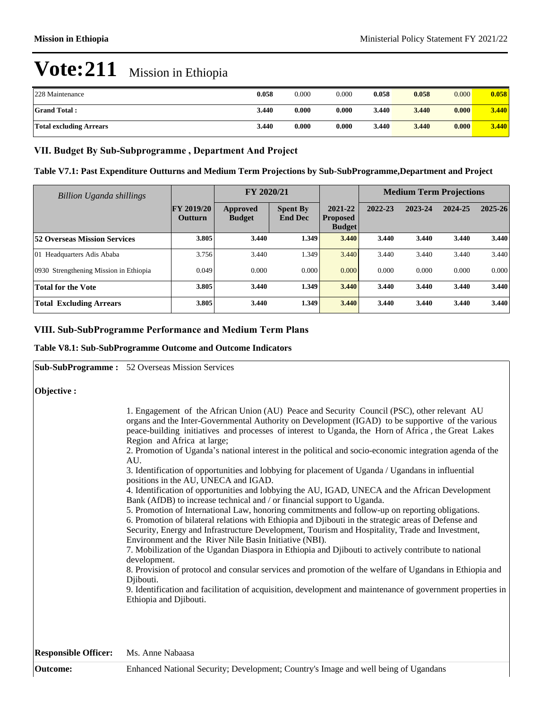| 228 Maintenance                | 0.058 | 0.000 | 0.000 | 0.058 | 0.058 | 0.000 | 0.058 |
|--------------------------------|-------|-------|-------|-------|-------|-------|-------|
| <b>Grand Total:</b>            | 3.440 | 0.000 | 0.000 | 3.440 | 3.440 | 0.000 | 3.440 |
| <b>Total excluding Arrears</b> | 3.440 | 0.000 | 0.000 | 3.440 | 3.440 | 0.000 | 3.440 |

## VII. Budget By Sub-Subprogramme, Department And Project

**Table V7.1: Past Expenditure Outturns and Medium Term Projections by Sub-SubProgramme,Department and Project**

| <b>Billion Uganda shillings</b>        |                              | FY 2020/21                |                                   |                                             | <b>Medium Term Projections</b> |         |         |             |
|----------------------------------------|------------------------------|---------------------------|-----------------------------------|---------------------------------------------|--------------------------------|---------|---------|-------------|
|                                        | <b>FY 2019/20</b><br>Outturn | Approved<br><b>Budget</b> | <b>Spent By</b><br><b>End Dec</b> | 2021-22<br><b>Proposed</b><br><b>Budget</b> | 2022-23                        | 2023-24 | 2024-25 | $2025 - 26$ |
| <b>52 Overseas Mission Services</b>    | 3.805                        | 3.440                     | 1.349                             | 3.440                                       | 3.440                          | 3.440   | 3.440   | 3.440       |
| 01 Headquarters Adis Ababa             | 3.756                        | 3.440                     | 1.349                             | 3.440                                       | 3.440                          | 3.440   | 3.440   | 3.440       |
| 0930 Strengthening Mission in Ethiopia | 0.049                        | 0.000                     | 0.000                             | 0.000                                       | 0.000                          | 0.000   | 0.000   | 0.000       |
| <b>Total for the Vote</b>              | 3.805                        | 3.440                     | 1.349                             | 3.440                                       | 3.440                          | 3.440   | 3.440   | 3.440       |
| <b>Total Excluding Arrears</b>         | 3.805                        | 3.440                     | 1.349                             | 3.440                                       | 3.440                          | 3.440   | 3.440   | 3.440       |

## **VIII. Sub-SubProgramme Performance and Medium Term Plans**

#### **Table V8.1: Sub-SubProgramme Outcome and Outcome Indicators**

|                             | <b>Sub-SubProgramme:</b> 52 Overseas Mission Services                                                                                                                                                                                                                                                                                                                                                                                                                                                                                                                                                                                                                                                                                                                                                                                                                                                                                                                                                                                                                                                                                                                                                                                                                                                                                                                                                                                                                                                                                               |
|-----------------------------|-----------------------------------------------------------------------------------------------------------------------------------------------------------------------------------------------------------------------------------------------------------------------------------------------------------------------------------------------------------------------------------------------------------------------------------------------------------------------------------------------------------------------------------------------------------------------------------------------------------------------------------------------------------------------------------------------------------------------------------------------------------------------------------------------------------------------------------------------------------------------------------------------------------------------------------------------------------------------------------------------------------------------------------------------------------------------------------------------------------------------------------------------------------------------------------------------------------------------------------------------------------------------------------------------------------------------------------------------------------------------------------------------------------------------------------------------------------------------------------------------------------------------------------------------------|
| Objective :                 |                                                                                                                                                                                                                                                                                                                                                                                                                                                                                                                                                                                                                                                                                                                                                                                                                                                                                                                                                                                                                                                                                                                                                                                                                                                                                                                                                                                                                                                                                                                                                     |
|                             | 1. Engagement of the African Union (AU) Peace and Security Council (PSC), other relevant AU<br>organs and the Inter-Governmental Authority on Development (IGAD) to be supportive of the various<br>peace-building initiatives and processes of interest to Uganda, the Horn of Africa, the Great Lakes<br>Region and Africa at large;<br>2. Promotion of Uganda's national interest in the political and socio-economic integration agenda of the<br>AU.<br>3. Identification of opportunities and lobbying for placement of Uganda / Ugandans in influential<br>positions in the AU, UNECA and IGAD.<br>4. Identification of opportunities and lobbying the AU, IGAD, UNECA and the African Development<br>Bank (AfDB) to increase technical and / or financial support to Uganda.<br>5. Promotion of International Law, honoring commitments and follow-up on reporting obligations.<br>6. Promotion of bilateral relations with Ethiopia and Djibouti in the strategic areas of Defense and<br>Security, Energy and Infrastructure Development, Tourism and Hospitality, Trade and Investment,<br>Environment and the River Nile Basin Initiative (NBI).<br>7. Mobilization of the Ugandan Diaspora in Ethiopia and Djibouti to actively contribute to national<br>development.<br>8. Provision of protocol and consular services and promotion of the welfare of Ugandans in Ethiopia and<br>Djibouti.<br>9. Identification and facilitation of acquisition, development and maintenance of government properties in<br>Ethiopia and Djibouti. |
| <b>Responsible Officer:</b> | Ms. Anne Nabaasa                                                                                                                                                                                                                                                                                                                                                                                                                                                                                                                                                                                                                                                                                                                                                                                                                                                                                                                                                                                                                                                                                                                                                                                                                                                                                                                                                                                                                                                                                                                                    |
| Outcome:                    | Enhanced National Security; Development; Country's Image and well being of Ugandans                                                                                                                                                                                                                                                                                                                                                                                                                                                                                                                                                                                                                                                                                                                                                                                                                                                                                                                                                                                                                                                                                                                                                                                                                                                                                                                                                                                                                                                                 |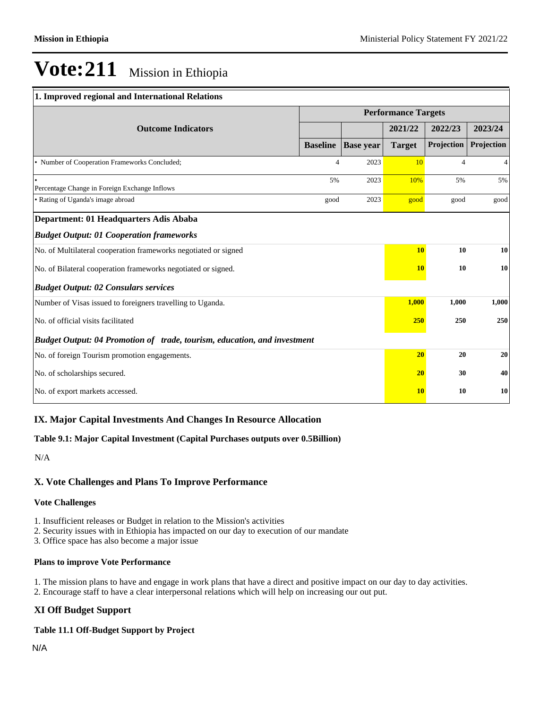# $\mathbb{R}$  Security; Development;  $\mathbb{R}$  and  $\mathbb{R}$  image and well being of Ugandans of Ugandans of Ugandans of Ugandans of Ugandans of Ugandans of Ugandans of Ugandans of Ugandans of Ugandans of Ugandans of Ugandans of **Vote:211** Mission in Ethiopia

| 1. Improved regional and International Relations                         |                            |                  |               |                |                |  |
|--------------------------------------------------------------------------|----------------------------|------------------|---------------|----------------|----------------|--|
|                                                                          | <b>Performance Targets</b> |                  |               |                |                |  |
| <b>Outcome Indicators</b>                                                |                            |                  | 2021/22       | 2022/23        | 2023/24        |  |
|                                                                          | <b>Baseline</b>            | <b>Base year</b> | <b>Target</b> | Projection     | Projection     |  |
| • Number of Cooperation Frameworks Concluded;                            | 4                          | 2023             | 10            | $\overline{4}$ | $\overline{4}$ |  |
| Percentage Change in Foreign Exchange Inflows                            | 5%                         | 2023             | 10%           | 5%             | 5%             |  |
| • Rating of Uganda's image abroad                                        | good                       | 2023             | good          | good           | good           |  |
| Department: 01 Headquarters Adis Ababa                                   |                            |                  |               |                |                |  |
| <b>Budget Output: 01 Cooperation frameworks</b>                          |                            |                  |               |                |                |  |
| No. of Multilateral cooperation frameworks negotiated or signed          |                            |                  | <b>10</b>     | 10             | 10             |  |
| No. of Bilateral cooperation frameworks negotiated or signed.            |                            |                  | <b>10</b>     | 10             | 10             |  |
| <b>Budget Output: 02 Consulars services</b>                              |                            |                  |               |                |                |  |
| Number of Visas issued to foreigners travelling to Uganda.               |                            |                  | 1,000         | 1,000          | 1,000          |  |
| No. of official visits facilitated                                       |                            |                  | 250           | 250            | 250            |  |
| Budget Output: 04 Promotion of trade, tourism, education, and investment |                            |                  |               |                |                |  |
| No. of foreign Tourism promotion engagements.                            |                            |                  | 20            | 20             | 20             |  |
| No. of scholarships secured.                                             |                            |                  | 20            | 30             | 40             |  |
| No. of export markets accessed.                                          |                            |                  | <b>10</b>     | 10             | 10             |  |

# **IX. Major Capital Investments And Changes In Resource Allocation**

### **Table 9.1: Major Capital Investment (Capital Purchases outputs over 0.5Billion)**

N/A

### **X. Vote Challenges and Plans To Improve Performance**

#### **Vote Challenges**

1. Insufficient releases or Budget in relation to the Mission's activities

2. Security issues with in Ethiopia has impacted on our day to execution of our mandate

3. Office space has also become a major issue

#### **Plans to improve Vote Performance**

1. The mission plans to have and engage in work plans that have a direct and positive impact on our day to day activities. 2. Encourage staff to have a clear interpersonal relations which will help on increasing our out put.

# **XI Off Budget Support**

#### **Table 11.1 Off-Budget Support by Project**

N/A